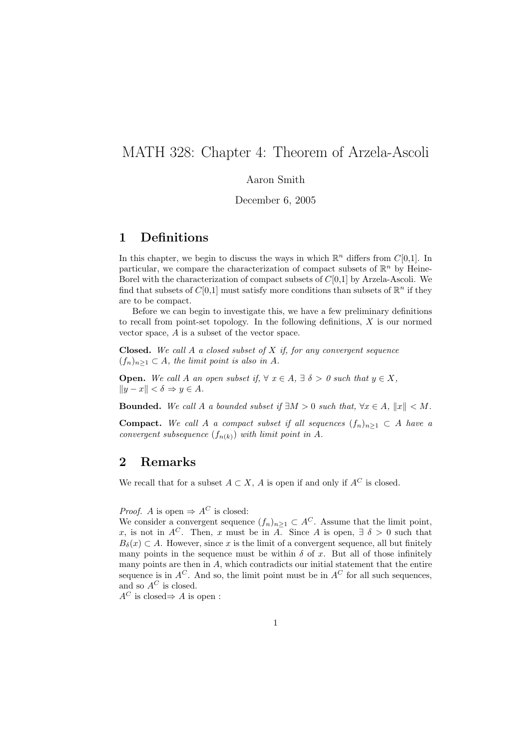# MATH 328: Chapter 4: Theorem of Arzela-Ascoli

#### Aaron Smith

December 6, 2005

## 1 Definitions

In this chapter, we begin to discuss the ways in which  $\mathbb{R}^n$  differs from  $C[0,1]$ . In particular, we compare the characterization of compact subsets of  $\mathbb{R}^n$  by Heine-Borel with the characterization of compact subsets of  $C[0,1]$  by Arzela-Ascoli. We find that subsets of  $C[0,1]$  must satisfy more conditions than subsets of  $\mathbb{R}^n$  if they are to be compact.

Before we can begin to investigate this, we have a few preliminary definitions to recall from point-set topology. In the following definitions, X is our normed vector space, A is a subset of the vector space.

**Closed.** We call A a closed subset of X if, for any convergent sequence  $(f_n)_{n\geq 1} \subset A$ , the limit point is also in A.

**Open.** We call A an open subset if,  $\forall x \in A$ ,  $\exists \delta > 0$  such that  $y \in X$ ,  $||y - x|| < \delta \Rightarrow y \in A$ .

**Bounded.** We call A a bounded subset if  $\exists M > 0$  such that,  $\forall x \in A$ ,  $||x|| < M$ .

**Compact.** We call A a compact subset if all sequences  $(f_n)_{n\geq 1} \subset A$  have a convergent subsequence  $(f_{n(k)})$  with limit point in A.

#### 2 Remarks

We recall that for a subset  $A \subset X$ , A is open if and only if  $A^C$  is closed.

*Proof.* A is open  $\Rightarrow$  A<sup>C</sup> is closed:

We consider a convergent sequence  $(f_n)_{n\geq 1} \subset A^C$ . Assume that the limit point, x, is not in A<sup>C</sup>. Then, x must be in A. Since A is open,  $\exists \delta > 0$  such that  $B_\delta(x) \subset A$ . However, since x is the limit of a convergent sequence, all but finitely many points in the sequence must be within  $\delta$  of x. But all of those infinitely many points are then in  $A$ , which contradicts our initial statement that the entire sequence is in  $A^C$ . And so, the limit point must be in  $A^C$  for all such sequences, and so  $A^C$  is closed.

 $A^C$  is closed⇒ A is open :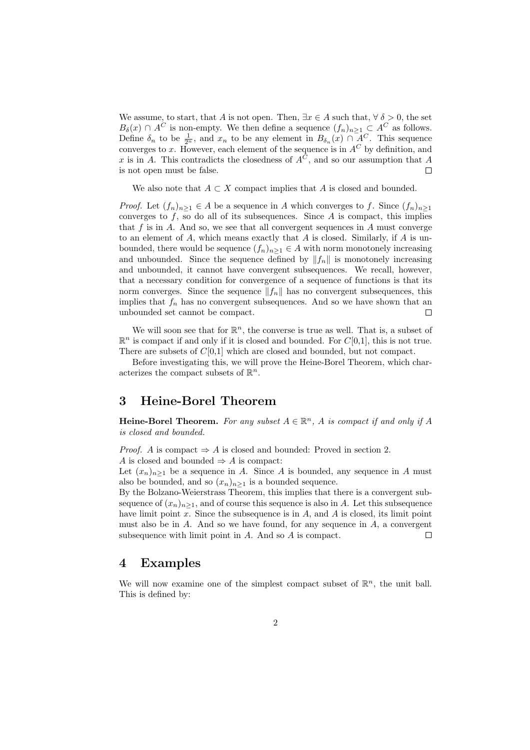We assume, to start, that A is not open. Then,  $\exists x \in A$  such that,  $\forall \delta > 0$ , the set  $B_\delta(x) \cap A^C$  is non-empty. We then define a sequence  $(f_n)_{n \geq 1} \subset A^C$  as follows. Define  $\delta_n$  to be  $\frac{1}{2^n}$ , and  $x_n$  to be any element in  $B_{\delta_n}(x) \cap A^C$ . This sequence converges to x. However, each element of the sequence is in  $A^C$  by definition, and x is in A. This contradicts the closedness of  $A^C$ , and so our assumption that A is not open must be false.  $\Box$ 

We also note that  $A \subset X$  compact implies that A is closed and bounded.

*Proof.* Let  $(f_n)_{n>1} \in A$  be a sequence in A which converges to f. Since  $(f_n)_{n>1}$ converges to  $f$ , so do all of its subsequences. Since  $A$  is compact, this implies that  $f$  is in  $A$ . And so, we see that all convergent sequences in  $A$  must converge to an element of  $A$ , which means exactly that  $A$  is closed. Similarly, if  $A$  is unbounded, there would be sequence  $(f_n)_{n\geq 1} \in A$  with norm monotonely increasing and unbounded. Since the sequence defined by  $||f_n||$  is monotonely increasing and unbounded, it cannot have convergent subsequences. We recall, however, that a necessary condition for convergence of a sequence of functions is that its norm converges. Since the sequence  $||f_n||$  has no convergent subsequences, this implies that  $f_n$  has no convergent subsequences. And so we have shown that an unbounded set cannot be compact.  $\Box$ 

We will soon see that for  $\mathbb{R}^n$ , the converse is true as well. That is, a subset of  $\mathbb{R}^n$  is compact if and only if it is closed and bounded. For  $C[0,1]$ , this is not true. There are subsets of  $C[0,1]$  which are closed and bounded, but not compact.

Before investigating this, we will prove the Heine-Borel Theorem, which characterizes the compact subsets of  $\mathbb{R}^n$ .

## 3 Heine-Borel Theorem

Heine-Borel Theorem. For any subset  $A \in \mathbb{R}^n$ , A is compact if and only if A is closed and bounded.

*Proof.* A is compact  $\Rightarrow$  A is closed and bounded: Proved in section 2.

A is closed and bounded  $\Rightarrow$  A is compact:

Let  $(x_n)_{n\geq 1}$  be a sequence in A. Since A is bounded, any sequence in A must also be bounded, and so  $(x_n)_{n\geq 1}$  is a bounded sequence.

By the Bolzano-Weierstrass Theorem, this implies that there is a convergent subsequence of  $(x_n)_{n\geq 1}$ , and of course this sequence is also in A. Let this subsequence have limit point  $x$ . Since the subsequence is in  $A$ , and  $A$  is closed, its limit point must also be in  $A$ . And so we have found, for any sequence in  $A$ , a convergent subsequence with limit point in A. And so A is compact.  $\Box$ 

# 4 Examples

We will now examine one of the simplest compact subset of  $\mathbb{R}^n$ , the unit ball. This is defined by: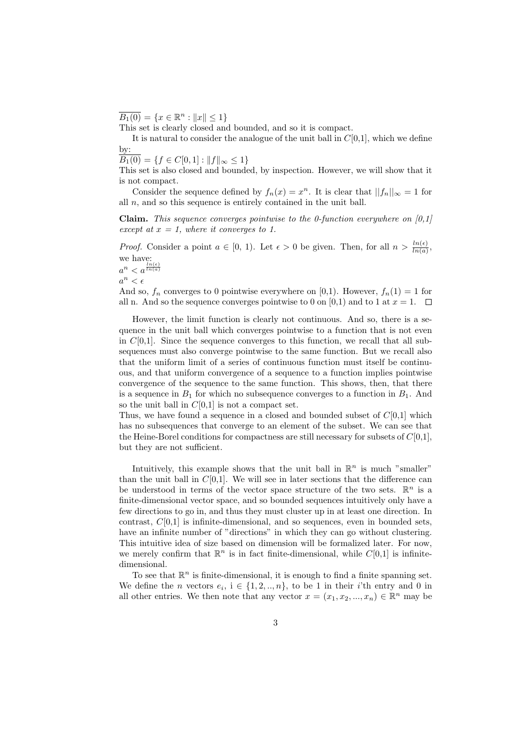$\overline{B_1(0)} = \{x \in \mathbb{R}^n : ||x|| \le 1\}$ 

This set is clearly closed and bounded, and so it is compact.

It is natural to consider the analogue of the unit ball in  $C[0,1]$ , which we define by:

 $\overline{B_1(0)} = \{f \in C[0,1] : ||f||_{\infty} \leq 1\}$ 

This set is also closed and bounded, by inspection. However, we will show that it is not compact.

Consider the sequence defined by  $f_n(x) = x^n$ . It is clear that  $||f_n||_{\infty} = 1$  for all  $n$ , and so this sequence is entirely contained in the unit ball.

**Claim.** This sequence converges pointwise to the 0-function everywhere on  $[0,1]$ except at  $x = 1$ , where it converges to 1.

*Proof.* Consider a point  $a \in [0, 1)$ . Let  $\epsilon > 0$  be given. Then, for all  $n > \frac{\ln(\epsilon)}{\ln(a)}$ , we have:

 $a^n < a^{\frac{ln(\epsilon)}{ln(a)}}$ 

 $a^n < \epsilon$ 

And so,  $f_n$  converges to 0 pointwise everywhere on [0,1]. However,  $f_n(1) = 1$  for all n. And so the sequence converges pointwise to 0 on [0,1) and to 1 at  $x = 1$ .  $\Box$ 

However, the limit function is clearly not continuous. And so, there is a sequence in the unit ball which converges pointwise to a function that is not even in  $C[0,1]$ . Since the sequence converges to this function, we recall that all subsequences must also converge pointwise to the same function. But we recall also that the uniform limit of a series of continuous function must itself be continuous, and that uniform convergence of a sequence to a function implies pointwise convergence of the sequence to the same function. This shows, then, that there is a sequence in  $B_1$  for which no subsequence converges to a function in  $B_1$ . And so the unit ball in  $C[0,1]$  is not a compact set.

Thus, we have found a sequence in a closed and bounded subset of  $C[0,1]$  which has no subsequences that converge to an element of the subset. We can see that the Heine-Borel conditions for compactness are still necessary for subsets of  $C[0,1]$ , but they are not sufficient.

Intuitively, this example shows that the unit ball in  $\mathbb{R}^n$  is much "smaller" than the unit ball in  $C[0,1]$ . We will see in later sections that the difference can be understood in terms of the vector space structure of the two sets.  $\mathbb{R}^n$  is a finite-dimensional vector space, and so bounded sequences intuitively only have a few directions to go in, and thus they must cluster up in at least one direction. In contrast,  $C[0,1]$  is infinite-dimensional, and so sequences, even in bounded sets, have an infinite number of "directions" in which they can go without clustering. This intuitive idea of size based on dimension will be formalized later. For now, we merely confirm that  $\mathbb{R}^n$  is in fact finite-dimensional, while  $C[0,1]$  is infinitedimensional.

To see that  $\mathbb{R}^n$  is finite-dimensional, it is enough to find a finite spanning set. We define the *n* vectors  $e_i$ ,  $i \in \{1, 2, ..., n\}$ , to be 1 in their *i*'th entry and 0 in all other entries. We then note that any vector  $x = (x_1, x_2, ..., x_n) \in \mathbb{R}^n$  may be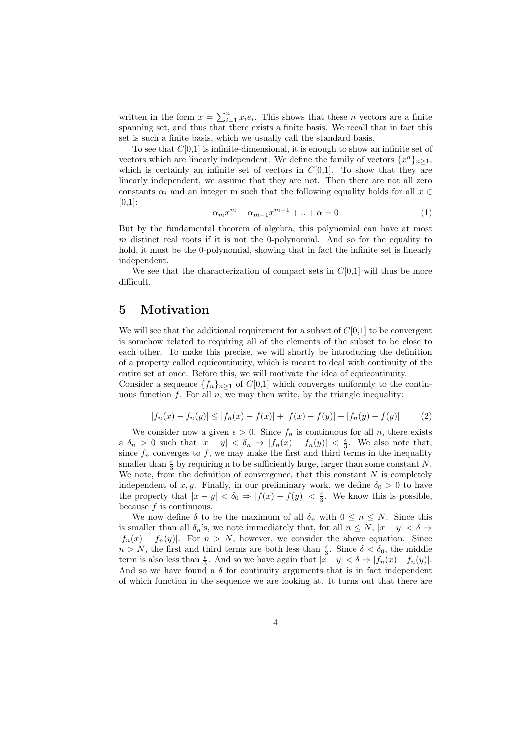written in the form  $x = \sum_{i=1}^{n} x_i e_i$ . This shows that these *n* vectors are a finite spanning set, and thus that there exists a finite basis. We recall that in fact this set is such a finite basis, which we usually call the standard basis.

To see that  $C[0,1]$  is infinite-dimensional, it is enough to show an infinite set of vectors which are linearly independent. We define the family of vectors  $\{x^n\}_{n\geq 1}$ , which is certainly an infinite set of vectors in  $C[0,1]$ . To show that they are linearly independent, we assume that they are not. Then there are not all zero constants  $\alpha_i$  and an integer m such that the following equality holds for all  $x \in$  $[0,1]$ :

$$
\alpha_m x^m + \alpha_{m-1} x^{m-1} + \ldots + \alpha = 0 \tag{1}
$$

But by the fundamental theorem of algebra, this polynomial can have at most m distinct real roots if it is not the 0-polynomial. And so for the equality to hold, it must be the 0-polynomial, showing that in fact the infinite set is linearly independent.

We see that the characterization of compact sets in  $C[0,1]$  will thus be more difficult.

# 5 Motivation

We will see that the additional requirement for a subset of  $C[0,1]$  to be convergent is somehow related to requiring all of the elements of the subset to be close to each other. To make this precise, we will shortly be introducing the definition of a property called equicontinuity, which is meant to deal with continuity of the entire set at once. Before this, we will motivate the idea of equicontinuity.

Consider a sequence  $\{f_n\}_{n\geq 1}$  of  $C[0,1]$  which converges uniformly to the continuous function  $f$ . For all  $n$ , we may then write, by the triangle inequality:

$$
|f_n(x) - f_n(y)| \le |f_n(x) - f(x)| + |f(x) - f(y)| + |f_n(y) - f(y)| \tag{2}
$$

We consider now a given  $\epsilon > 0$ . Since  $f_n$  is continuous for all n, there exists a  $\delta_n > 0$  such that  $|x - y| < \delta_n \Rightarrow |f_n(x) - f_n(y)| < \frac{\epsilon}{3}$ . We also note that, since  $f_n$  converges to f, we may make the first and third terms in the inequality smaller than  $\frac{\epsilon}{3}$  by requiring n to be sufficiently large, larger than some constant N. We note, from the definition of convergence, that this constant  $N$  is completely independent of x, y. Finally, in our preliminary work, we define  $\delta_0 > 0$  to have the property that  $|x - y| < \delta_0 \Rightarrow |f(x) - f(y)| < \frac{\epsilon}{3}$ . We know this is possible, because  $f$  is continuous.

We now define  $\delta$  to be the maximum of all  $\delta_n$  with  $0 \leq n \leq N$ . Since this is smaller than all  $\delta_n$ 's, we note immediately that, for all  $n \leq N$ ,  $|x - y| < \delta \Rightarrow$  $|f_n(x) - f_n(y)|$ . For  $n > N$ , however, we consider the above equation. Since  $n > N$ , the first and third terms are both less than  $\frac{\epsilon}{3}$ . Since  $\delta < \delta_0$ , the middle term is also less than  $\frac{\epsilon}{3}$ . And so we have again that  $|x-y| < \delta \Rightarrow |f_n(x) - f_n(y)|$ . And so we have found a  $\delta$  for continuity arguments that is in fact independent of which function in the sequence we are looking at. It turns out that there are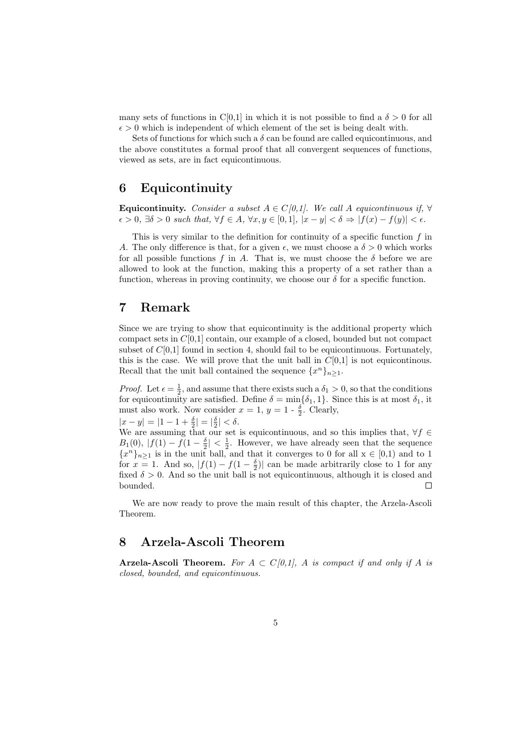many sets of functions in C[0,1] in which it is not possible to find a  $\delta > 0$  for all  $\epsilon > 0$  which is independent of which element of the set is being dealt with.

Sets of functions for which such a  $\delta$  can be found are called equicontinuous, and the above constitutes a formal proof that all convergent sequences of functions, viewed as sets, are in fact equicontinuous.

# 6 Equicontinuity

Equicontinuity. Consider a subset  $A \in C[0,1]$ . We call A equicontinuous if,  $\forall$  $\epsilon > 0$ ,  $\exists \delta > 0$  such that,  $\forall f \in A$ ,  $\forall x, y \in [0,1]$ ,  $|x - y| < \delta \Rightarrow |f(x) - f(y)| < \epsilon$ .

This is very similar to the definition for continuity of a specific function  $f$  in A. The only difference is that, for a given  $\epsilon$ , we must choose a  $\delta > 0$  which works for all possible functions f in A. That is, we must choose the  $\delta$  before we are allowed to look at the function, making this a property of a set rather than a function, whereas in proving continuity, we choose our  $\delta$  for a specific function.

## 7 Remark

Since we are trying to show that equicontinuity is the additional property which compact sets in  $C[0,1]$  contain, our example of a closed, bounded but not compact subset of  $C[0,1]$  found in section 4, should fail to be equicontinuous. Fortunately, this is the case. We will prove that the unit ball in  $C[0,1]$  is not equicontinous. Recall that the unit ball contained the sequence  $\{x^n\}_{n\geq 1}$ .

*Proof.* Let  $\epsilon = \frac{1}{2}$ , and assume that there exists such a  $\delta_1 > 0$ , so that the conditions for equicontinuity are satisfied. Define  $\delta = \min{\{\delta_1, 1\}}$ . Since this is at most  $\delta_1$ , it must also work. Now consider  $x = 1$ ,  $y = 1 - \frac{\delta}{2}$ . Clearly,

 $|x-y| = |1-1+\frac{\delta}{2}| = |\frac{\delta}{2}| < \delta.$ 

We are assuming that our set is equicontinuous, and so this implies that,  $\forall f \in$  $B_1(0)$ ,  $|f(1) - f(1 - \frac{\delta}{2})| < \frac{1}{2}$ . However, we have already seen that the sequence  ${x^n}_{n \geq 1}$  is in the unit ball, and that it converges to 0 for all  $x \in [0,1)$  and to 1 for  $x = 1$ . And so,  $|f(1) - f(1 - \frac{\delta}{2})|$  can be made arbitrarily close to 1 for any fixed  $\delta > 0$ . And so the unit ball is not equicontinuous, although it is closed and bounded.  $\Box$ 

We are now ready to prove the main result of this chapter, the Arzela-Ascoli Theorem.

# 8 Arzela-Ascoli Theorem

Arzela-Ascoli Theorem. For  $A \subset C[0,1]$ , A is compact if and only if A is closed, bounded, and equicontinuous.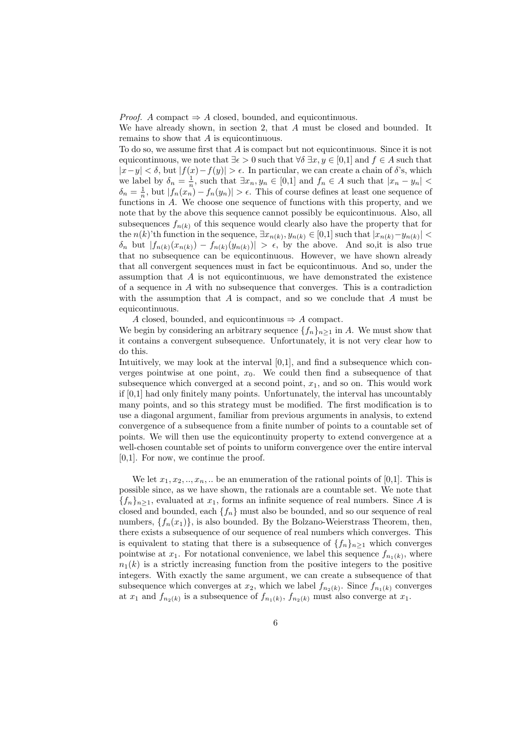*Proof.* A compact  $\Rightarrow$  A closed, bounded, and equicontinuous.

We have already shown, in section 2, that A must be closed and bounded. It remains to show that A is equicontinuous.

To do so, we assume first that A is compact but not equicontinuous. Since it is not equicontinuous, we note that  $\exists \epsilon > 0$  such that  $\forall \delta \exists x, y \in [0,1]$  and  $f \in A$  such that  $|x-y| < \delta$ , but  $|f(x)-f(y)| > \epsilon$ . In particular, we can create a chain of  $\delta$ 's, which we label by  $\delta_n = \frac{1}{n}$ , such that  $\exists x_n, y_n \in [0,1]$  and  $f_n \in A$  such that  $|x_n - y_n|$  $\delta_n = \frac{1}{n}$ , but  $|f_n(x_n)| > f_n(y_n)| > \epsilon$ . This of course defines at least one sequence of functions in A. We choose one sequence of functions with this property, and we note that by the above this sequence cannot possibly be equicontinuous. Also, all subsequences  $f_{n(k)}$  of this sequence would clearly also have the property that for the  $n(k)$ 'th function in the sequence,  $\exists x_{n(k)}, y_{n(k)} \in [0,1]$  such that  $|x_{n(k)} - y_{n(k)}|$  $\delta_n$  but  $|f_{n(k)}(x_{n(k)}) - f_{n(k)}(y_{n(k)})| > \epsilon$ , by the above. And so, it is also true that no subsequence can be equicontinuous. However, we have shown already that all convergent sequences must in fact be equicontinuous. And so, under the assumption that  $A$  is not equicontinuous, we have demonstrated the existence of a sequence in  $A$  with no subsequence that converges. This is a contradiction with the assumption that  $A$  is compact, and so we conclude that  $A$  must be equicontinuous.

A closed, bounded, and equicontinuous  $\Rightarrow$  A compact.

We begin by considering an arbitrary sequence  $\{f_n\}_{n>1}$  in A. We must show that it contains a convergent subsequence. Unfortunately, it is not very clear how to do this.

Intuitively, we may look at the interval [0,1], and find a subsequence which converges pointwise at one point,  $x_0$ . We could then find a subsequence of that subsequence which converged at a second point,  $x_1$ , and so on. This would work if [0,1] had only finitely many points. Unfortunately, the interval has uncountably many points, and so this strategy must be modified. The first modification is to use a diagonal argument, familiar from previous arguments in analysis, to extend convergence of a subsequence from a finite number of points to a countable set of points. We will then use the equicontinuity property to extend convergence at a well-chosen countable set of points to uniform convergence over the entire interval [0,1]. For now, we continue the proof.

We let  $x_1, x_2, \ldots, x_n, \ldots$  be an enumeration of the rational points of [0,1]. This is possible since, as we have shown, the rationals are a countable set. We note that  ${f_n}_{n\geq 1}$ , evaluated at  $x_1$ , forms an infinite sequence of real numbers. Since A is closed and bounded, each  ${f_n}$  must also be bounded, and so our sequence of real numbers,  $\{f_n(x_1)\}\$ , is also bounded. By the Bolzano-Weierstrass Theorem, then, there exists a subsequence of our sequence of real numbers which converges. This is equivalent to stating that there is a subsequence of  $\{f_n\}_{n\geq 1}$  which converges pointwise at  $x_1$ . For notational convenience, we label this sequence  $f_{n_1(k)}$ , where  $n_1(k)$  is a strictly increasing function from the positive integers to the positive integers. With exactly the same argument, we can create a subsequence of that subsequence which converges at  $x_2$ , which we label  $f_{n_2(k)}$ . Since  $f_{n_1(k)}$  converges at  $x_1$  and  $f_{n_2(k)}$  is a subsequence of  $f_{n_1(k)}, f_{n_2(k)}$  must also converge at  $x_1$ .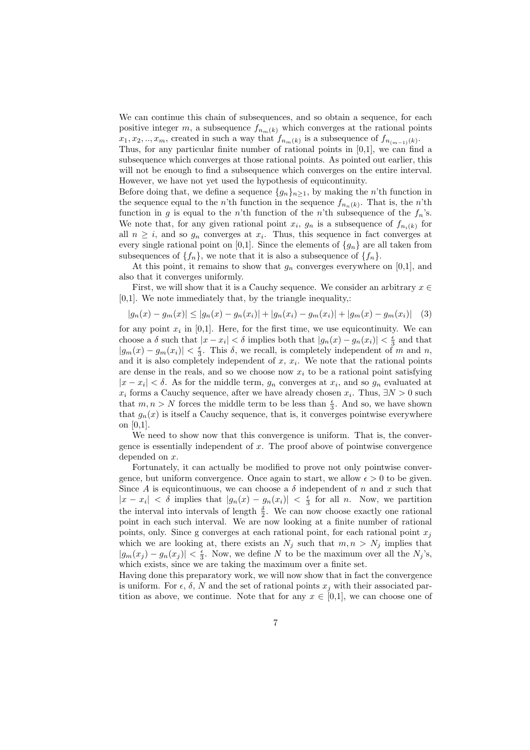We can continue this chain of subsequences, and so obtain a sequence, for each positive integer m, a subsequence  $f_{n_m(k)}$  which converges at the rational points  $x_1, x_2, \ldots, x_m$ , created in such a way that  $f_{n_m(k)}$  is a subsequence of  $f_{n_{(m-1)}(k)}$ .

Thus, for any particular finite number of rational points in [0,1], we can find a subsequence which converges at those rational points. As pointed out earlier, this will not be enough to find a subsequence which converges on the entire interval. However, we have not yet used the hypothesis of equicontinuity.

Before doing that, we define a sequence  $\{g_n\}_{n>1}$ , by making the n'th function in the sequence equal to the *n*'th function in the sequence  $f_{n_n(k)}$ . That is, the *n*'th function in g is equal to the n'th function of the n'th subsequence of the  $f_n$ 's. We note that, for any given rational point  $x_i$ ,  $g_n$  is a subsequence of  $f_{n_i(k)}$  for all  $n \geq i$ , and so  $g_n$  converges at  $x_i$ . Thus, this sequence in fact converges at every single rational point on [0,1]. Since the elements of  $\{g_n\}$  are all taken from subsequences of  $\{f_n\}$ , we note that it is also a subsequence of  $\{f_n\}$ .

At this point, it remains to show that  $g_n$  converges everywhere on [0,1], and also that it converges uniformly.

First, we will show that it is a Cauchy sequence. We consider an arbitrary  $x \in$ [0,1]. We note immediately that, by the triangle inequality,:

$$
|g_n(x) - g_m(x)| \le |g_n(x) - g_n(x)| + |g_n(x_i) - g_m(x_i)| + |g_m(x) - g_m(x_i)| \quad (3)
$$

for any point  $x_i$  in [0,1]. Here, for the first time, we use equicontinuity. We can choose a  $\delta$  such that  $|x-x_i| < \delta$  implies both that  $|g_n(x) - g_n(x_i)| < \frac{\epsilon}{3}$  and that  $|g_m(x) - g_m(x_i)| < \frac{\epsilon}{3}$ . This  $\delta$ , we recall, is completely independent of m and n, and it is also completely independent of  $x, x_i$ . We note that the rational points are dense in the reals, and so we choose now  $x_i$  to be a rational point satisfying  $|x-x_i| < \delta$ . As for the middle term,  $g_n$  converges at  $x_i$ , and so  $g_n$  evaluated at  $x_i$  forms a Cauchy sequence, after we have already chosen  $x_i$ . Thus,  $\exists N > 0$  such that  $m, n > N$  forces the middle term to be less than  $\frac{\epsilon}{3}$ . And so, we have shown that  $g_n(x)$  is itself a Cauchy sequence, that is, it converges pointwise everywhere on [0,1].

We need to show now that this convergence is uniform. That is, the convergence is essentially independent of  $x$ . The proof above of pointwise convergence depended on x.

Fortunately, it can actually be modified to prove not only pointwise convergence, but uniform convergence. Once again to start, we allow  $\epsilon > 0$  to be given. Since A is equicontinuous, we can choose a  $\delta$  independent of n and x such that  $|x - x_i| < \delta$  implies that  $|g_n(x) - g_n(x_i)| < \frac{\epsilon}{3}$  for all n. Now, we partition the interval into intervals of length  $\frac{\delta}{2}$ . We can now choose exactly one rational point in each such interval. We are now looking at a finite number of rational points, only. Since g converges at each rational point, for each rational point  $x_j$ which we are looking at, there exists an  $N_j$  such that  $m, n > N_j$  implies that  $|g_m(x_j) - g_n(x_j)| < \frac{\epsilon}{3}$ . Now, we define N to be the maximum over all the  $N_j$ 's, which exists, since we are taking the maximum over a finite set.

Having done this preparatory work, we will now show that in fact the convergence is uniform. For  $\epsilon$ ,  $\delta$ , N and the set of rational points  $x_j$  with their associated partition as above, we continue. Note that for any  $x \in [0,1]$ , we can choose one of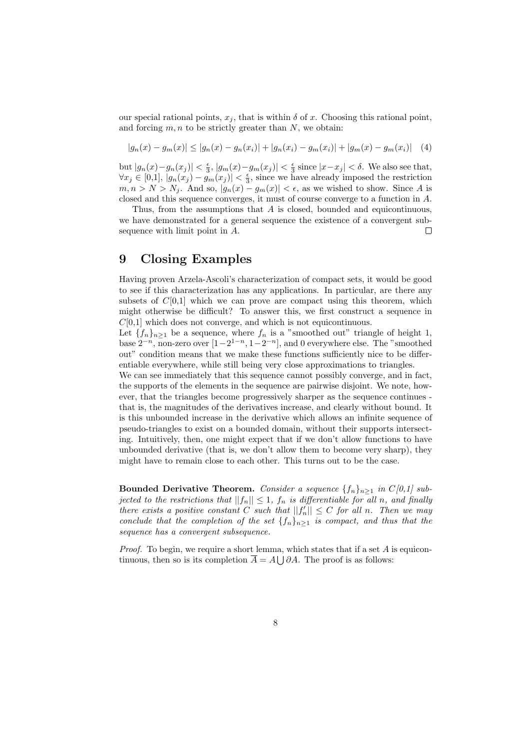our special rational points,  $x_j$ , that is within  $\delta$  of x. Choosing this rational point, and forcing  $m, n$  to be strictly greater than  $N$ , we obtain:

$$
|g_n(x) - g_m(x)| \le |g_n(x) - g_n(x_i)| + |g_n(x_i) - g_m(x_i)| + |g_m(x) - g_m(x_i)| \quad (4)
$$

but  $|g_n(x)-g_n(x_j)| < \frac{\epsilon}{3}$ ,  $|g_m(x)-g_m(x_j)| < \frac{\epsilon}{3}$  since  $|x-x_j| < \delta$ . We also see that,  $\forall x_j \in [0,1], |g_n(x_j) - g_m(x_j)| < \frac{\epsilon}{3}$ , since we have already imposed the restriction  $m, n > N > N_j$ . And so,  $|g_n(x) - g_m(x)| < \epsilon$ , as we wished to show. Since A is closed and this sequence converges, it must of course converge to a function in A.

Thus, from the assumptions that A is closed, bounded and equicontinuous, we have demonstrated for a general sequence the existence of a convergent subsequence with limit point in A.  $\Box$ 

# 9 Closing Examples

Having proven Arzela-Ascoli's characterization of compact sets, it would be good to see if this characterization has any applications. In particular, are there any subsets of  $C[0,1]$  which we can prove are compact using this theorem, which might otherwise be difficult? To answer this, we first construct a sequence in  $C[0,1]$  which does not converge, and which is not equicontinuous.

Let  ${f_n}_{n\geq 1}$  be a sequence, where  $f_n$  is a "smoothed out" triangle of height 1, base  $2^{-n}$ , non-zero over  $[1-2^{1-n}, 1-2^{-n}]$ , and 0 everywhere else. The "smoothed out" condition means that we make these functions sufficiently nice to be differentiable everywhere, while still being very close approximations to triangles.

We can see immediately that this sequence cannot possibly converge, and in fact, the supports of the elements in the sequence are pairwise disjoint. We note, however, that the triangles become progressively sharper as the sequence continues that is, the magnitudes of the derivatives increase, and clearly without bound. It is this unbounded increase in the derivative which allows an infinite sequence of pseudo-triangles to exist on a bounded domain, without their supports intersecting. Intuitively, then, one might expect that if we don't allow functions to have unbounded derivative (that is, we don't allow them to become very sharp), they might have to remain close to each other. This turns out to be the case.

Bounded Derivative Theorem. Consider a sequence  $\{f_n\}_{n\geq 1}$  in  $C[0,1]$  subjected to the restrictions that  $||f_n|| \leq 1$ ,  $f_n$  is differentiable for all n, and finally there exists a positive constant C such that  $||f'_n|| \leq C$  for all n. Then we may conclude that the completion of the set  ${f_n}_{n>1}$  is compact, and thus that the sequence has a convergent subsequence.

*Proof.* To begin, we require a short lemma, which states that if a set  $A$  is equicontinuous, then so is its completion  $\overline{A} = A \bigcup \partial A$ . The proof is as follows: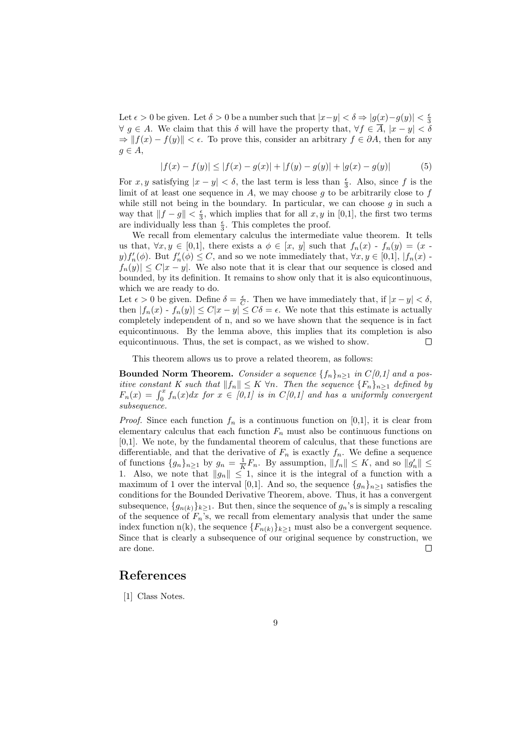Let  $\epsilon > 0$  be given. Let  $\delta > 0$  be a number such that  $|x-y| < \delta \Rightarrow |g(x)-g(y)| < \frac{\epsilon}{3}$  $\forall g \in A$ . We claim that this  $\delta$  will have the property that,  $\forall f \in \overline{A}$ ,  $|x - y| < \delta$  $\Rightarrow$   $|| f(x) - f(y)|| < \epsilon$ . To prove this, consider an arbitrary  $f \in \partial A$ , then for any  $g \in A$ ,

$$
|f(x) - f(y)| \le |f(x) - g(x)| + |f(y) - g(y)| + |g(x) - g(y)| \tag{5}
$$

For x, y satisfying  $|x - y| < \delta$ , the last term is less than  $\frac{\epsilon}{3}$ . Also, since f is the limit of at least one sequence in  $A$ , we may choose  $q$  to be arbitrarily close to  $f$ while still not being in the boundary. In particular, we can choose  $g$  in such a way that  $||f - g|| < \frac{\epsilon}{3}$ , which implies that for all  $x, y$  in [0,1], the first two terms are individually less than  $\frac{\epsilon}{3}$ . This completes the proof.

We recall from elementary calculus the intermediate value theorem. It tells us that,  $\forall x, y \in [0,1]$ , there exists a  $\phi \in [x, y]$  such that  $f_n(x) - f_n(y) = (x$  $y) f'_n(\phi)$ . But  $f'_n(\phi) \leq C$ , and so we note immediately that,  $\forall x, y \in [0,1]$ ,  $|f_n(x) |f_n(y)| \leq C|x-y|$ . We also note that it is clear that our sequence is closed and bounded, by its definition. It remains to show only that it is also equicontinuous, which we are ready to do.

Let  $\epsilon > 0$  be given. Define  $\delta = \frac{\epsilon}{C}$ . Then we have immediately that, if  $|x - y| < \delta$ , then  $|f_n(x) - f_n(y)| \leq C|x - y| \leq C\delta = \epsilon$ . We note that this estimate is actually completely independent of n, and so we have shown that the sequence is in fact equicontinuous. By the lemma above, this implies that its completion is also equicontinuous. Thus, the set is compact, as we wished to show.  $\Box$ 

This theorem allows us to prove a related theorem, as follows:

Bounded Norm Theorem. Consider a sequence  $\{f_n\}_{n\geq 1}$  in  $C[0,1]$  and a positive constant K such that  $||f_n|| \leq K \forall n$ . Then the sequence  ${F_n}_{n\geq 1}$  defined by  $F_n(x) = \int_0^x f_n(x)dx$  for  $x \in [0,1]$  is in  $C[0,1]$  and has a uniformly convergent subsequence.

*Proof.* Since each function  $f_n$  is a continuous function on [0,1], it is clear from elementary calculus that each function  $F_n$  must also be continuous functions on [0,1]. We note, by the fundamental theorem of calculus, that these functions are differentiable, and that the derivative of  $F_n$  is exactly  $f_n$ . We define a sequence of functions  $\{g_n\}_{n\geq 1}$  by  $g_n = \frac{1}{K}F_n$ . By assumption,  $||f_n|| \leq K$ , and so  $||g'_n|| \leq$ 1. Also, we note that  $||g_n|| \leq 1$ , since it is the integral of a function with a maximum of 1 over the interval [0,1]. And so, the sequence  $\{g_n\}_{n>1}$  satisfies the conditions for the Bounded Derivative Theorem, above. Thus, it has a convergent subsequence,  ${g_{n(k)}}_{k\geq 1}$ . But then, since the sequence of  $g_n$ 's is simply a rescaling of the sequence of  $F_n$ 's, we recall from elementary analysis that under the same index function n(k), the sequence  ${F_{n(k)}}_{k\geq1}$  must also be a convergent sequence. Since that is clearly a subsequence of our original sequence by construction, we are done.  $\Box$ 

# References

[1] Class Notes.